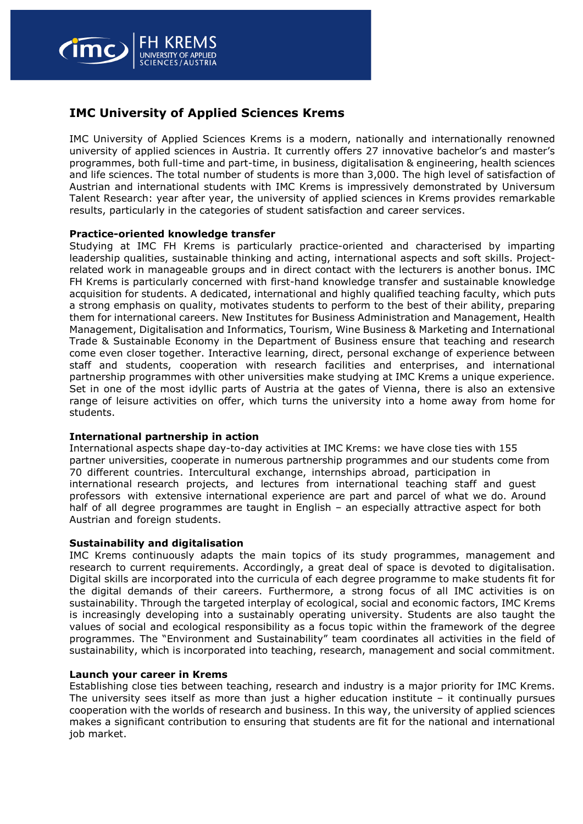

# **IMC University of Applied Sciences Krems**

IMC University of Applied Sciences Krems is a modern, nationally and internationally renowned university of applied sciences in Austria. It currently offers 27 innovative bachelor's and master's programmes, both full-time and part-time, in business, digitalisation & engineering, health sciences and life sciences. The total number of students is more than 3,000. The high level of satisfaction of Austrian and international students with IMC Krems is impressively demonstrated by Universum Talent Research: year after year, the university of applied sciences in Krems provides remarkable results, particularly in the categories of student satisfaction and career services.

### **Practice-oriented knowledge transfer**

Studying at IMC FH Krems is particularly practice-oriented and characterised by imparting leadership qualities, sustainable thinking and acting, international aspects and soft skills. Projectrelated work in manageable groups and in direct contact with the lecturers is another bonus. IMC FH Krems is particularly concerned with first-hand knowledge transfer and sustainable knowledge acquisition for students. A dedicated, international and highly qualified teaching faculty, which puts a strong emphasis on quality, motivates students to perform to the best of their ability, preparing them for international careers. New Institutes for Business Administration and Management, Health Management, Digitalisation and Informatics, Tourism, Wine Business & Marketing and International Trade & Sustainable Economy in the Department of Business ensure that teaching and research come even closer together. Interactive learning, direct, personal exchange of experience between staff and students, cooperation with research facilities and enterprises, and international partnership programmes with other universities make studying at IMC Krems a unique experience. Set in one of the most idyllic parts of Austria at the gates of Vienna, there is also an extensive range of leisure activities on offer, which turns the university into a home away from home for students.

#### **International partnership in action**

International aspects shape day-to-day activities at IMC Krems: we have close ties with 155 partner universities, cooperate in numerous partnership programmes and our students come from 70 different countries. Intercultural exchange, internships abroad, participation in international research projects, and lectures from international teaching staff and guest professors with extensive international experience are part and parcel of what we do. Around half of all degree programmes are taught in English – an especially attractive aspect for both Austrian and foreign students.

#### **Sustainability and digitalisation**

IMC Krems continuously adapts the main topics of its study programmes, management and research to current requirements. Accordingly, a great deal of space is devoted to digitalisation. Digital skills are incorporated into the curricula of each degree programme to make students fit for the digital demands of their careers. Furthermore, a strong focus of all IMC activities is on sustainability. Through the targeted interplay of ecological, social and economic factors, IMC Krems is increasingly developing into a sustainably operating university. Students are also taught the values of social and ecological responsibility as a focus topic within the framework of the degree programmes. The "Environment and Sustainability" team coordinates all activities in the field of sustainability, which is incorporated into teaching, research, management and social commitment.

#### **Launch your career in Krems**

Establishing close ties between teaching, research and industry is a major priority for IMC Krems. The university sees itself as more than just a higher education institute  $-$  it continually pursues cooperation with the worlds of research and business. In this way, the university of applied sciences makes a significant contribution to ensuring that students are fit for the national and international job market.